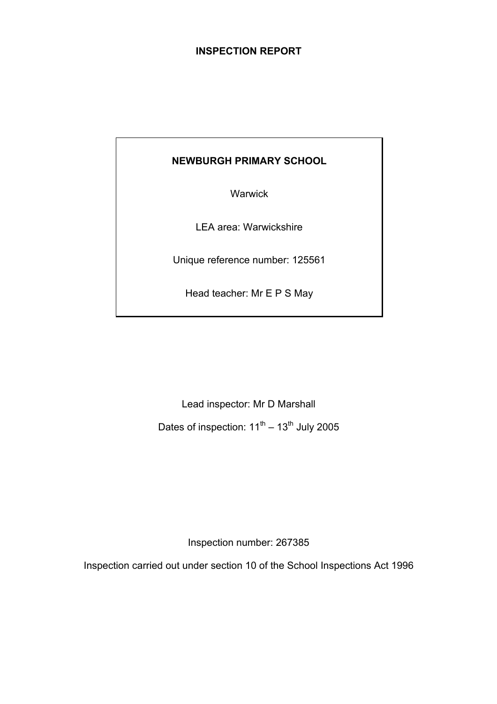## **INSPECTION REPORT**

## **NEWBURGH PRIMARY SCHOOL**

Warwick

LEA area: Warwickshire

Unique reference number: 125561

Head teacher: Mr E P S May

Lead inspector: Mr D Marshall Dates of inspection:  $11^{th} - 13^{th}$  July 2005

Inspection number: 267385

Inspection carried out under section 10 of the School Inspections Act 1996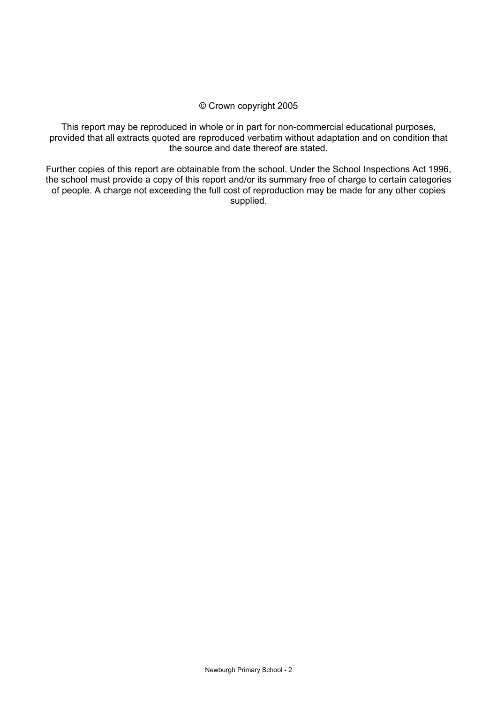### © Crown copyright 2005

This report may be reproduced in whole or in part for non-commercial educational purposes, provided that all extracts quoted are reproduced verbatim without adaptation and on condition that the source and date thereof are stated.

Further copies of this report are obtainable from the school. Under the School Inspections Act 1996, the school must provide a copy of this report and/or its summary free of charge to certain categories of people. A charge not exceeding the full cost of reproduction may be made for any other copies supplied.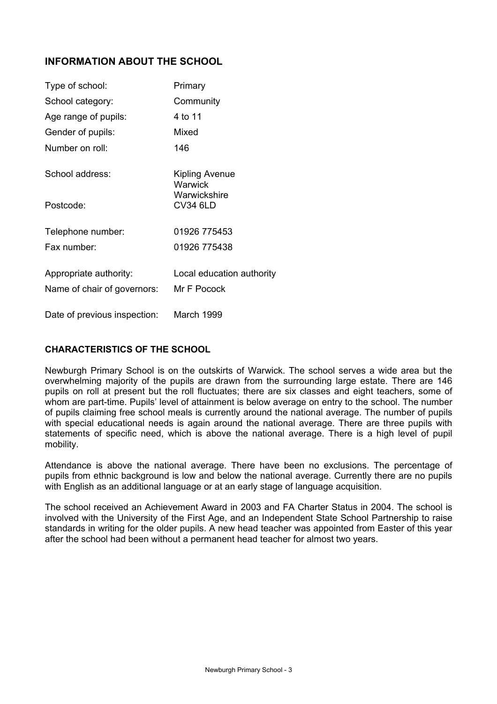## **INFORMATION ABOUT THE SCHOOL**

| Type of school:              | Primary                         |
|------------------------------|---------------------------------|
| School category:             | Community                       |
| Age range of pupils:         | 4 to 11                         |
| Gender of pupils:            | Mixed                           |
| Number on roll:              | 146                             |
| School address:              | Kipling Avenue<br>Warwick       |
| Postcode:                    | Warwickshire<br><b>CV34 6LD</b> |
| Telephone number:            | 01926 775453                    |
| Fax number:                  | 01926 775438                    |
| Appropriate authority:       | Local education authority       |
| Name of chair of governors:  | Mr F Pocock                     |
| Date of previous inspection: | March 1999                      |

## **CHARACTERISTICS OF THE SCHOOL**

Newburgh Primary School is on the outskirts of Warwick. The school serves a wide area but the overwhelming majority of the pupils are drawn from the surrounding large estate. There are 146 pupils on roll at present but the roll fluctuates; there are six classes and eight teachers, some of whom are part-time. Pupils' level of attainment is below average on entry to the school. The number of pupils claiming free school meals is currently around the national average. The number of pupils with special educational needs is again around the national average. There are three pupils with statements of specific need, which is above the national average. There is a high level of pupil mobility.

Attendance is above the national average. There have been no exclusions. The percentage of pupils from ethnic background is low and below the national average. Currently there are no pupils with English as an additional language or at an early stage of language acquisition.

The school received an Achievement Award in 2003 and FA Charter Status in 2004. The school is involved with the University of the First Age, and an Independent State School Partnership to raise standards in writing for the older pupils. A new head teacher was appointed from Easter of this year after the school had been without a permanent head teacher for almost two years.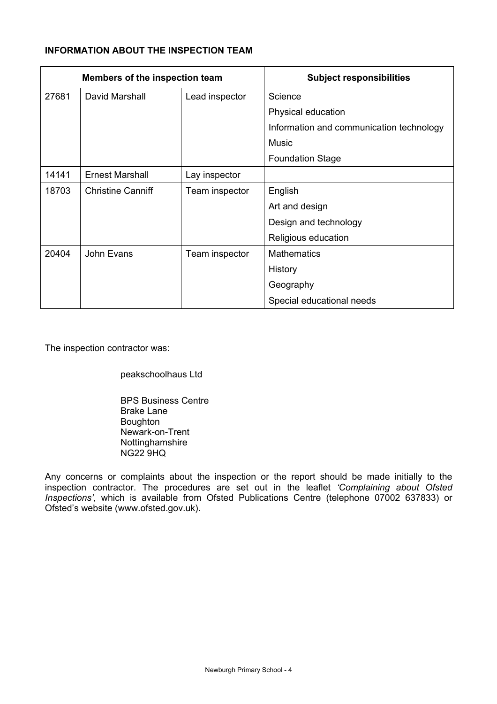## **INFORMATION ABOUT THE INSPECTION TEAM**

| Members of the inspection team |                          |                | <b>Subject responsibilities</b>          |
|--------------------------------|--------------------------|----------------|------------------------------------------|
| 27681                          | David Marshall           | Lead inspector | Science                                  |
|                                |                          |                | Physical education                       |
|                                |                          |                | Information and communication technology |
|                                |                          |                | Music                                    |
|                                |                          |                | <b>Foundation Stage</b>                  |
| 14141                          | <b>Ernest Marshall</b>   | Lay inspector  |                                          |
| 18703                          | <b>Christine Canniff</b> | Team inspector | English                                  |
|                                |                          |                | Art and design                           |
|                                |                          |                | Design and technology                    |
|                                |                          |                | Religious education                      |
| 20404                          | John Evans               | Team inspector | <b>Mathematics</b>                       |
|                                |                          |                | History                                  |
|                                |                          |                | Geography                                |
|                                |                          |                | Special educational needs                |

The inspection contractor was:

peakschoolhaus Ltd

 BPS Business Centre Brake Lane Boughton Newark-on-Trent Nottinghamshire NG22 9HQ

Any concerns or complaints about the inspection or the report should be made initially to the inspection contractor. The procedures are set out in the leaflet *'Complaining about Ofsted Inspections'*, which is available from Ofsted Publications Centre (telephone 07002 637833) or Ofsted's website (www.ofsted.gov.uk).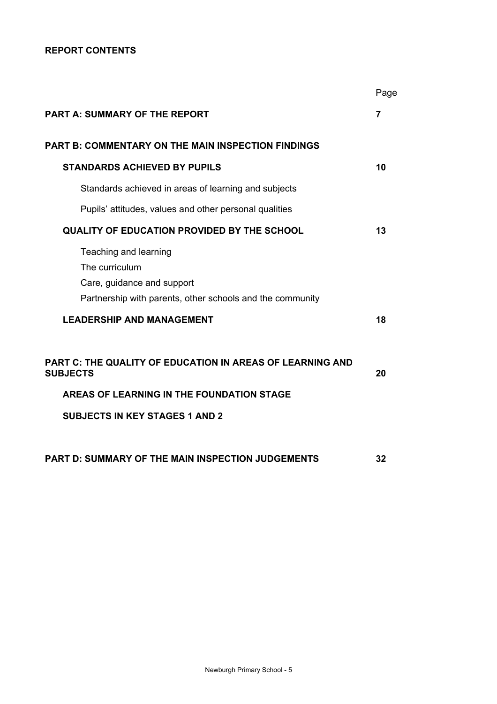## **REPORT CONTENTS**

|                                                                                                                                    | Page           |
|------------------------------------------------------------------------------------------------------------------------------------|----------------|
| <b>PART A: SUMMARY OF THE REPORT</b>                                                                                               | $\overline{7}$ |
| <b>PART B: COMMENTARY ON THE MAIN INSPECTION FINDINGS</b>                                                                          |                |
| <b>STANDARDS ACHIEVED BY PUPILS</b>                                                                                                | 10             |
| Standards achieved in areas of learning and subjects                                                                               |                |
| Pupils' attitudes, values and other personal qualities                                                                             |                |
| <b>QUALITY OF EDUCATION PROVIDED BY THE SCHOOL</b>                                                                                 | 13             |
| Teaching and learning<br>The curriculum<br>Care, guidance and support<br>Partnership with parents, other schools and the community |                |
| <b>LEADERSHIP AND MANAGEMENT</b>                                                                                                   | 18             |
| <b>PART C: THE QUALITY OF EDUCATION IN AREAS OF LEARNING AND</b><br><b>SUBJECTS</b>                                                | 20             |
| AREAS OF LEARNING IN THE FOUNDATION STAGE                                                                                          |                |
| <b>SUBJECTS IN KEY STAGES 1 AND 2</b>                                                                                              |                |
| <b>PART D: SUMMARY OF THE MAIN INSPECTION JUDGEMENTS</b>                                                                           | 32             |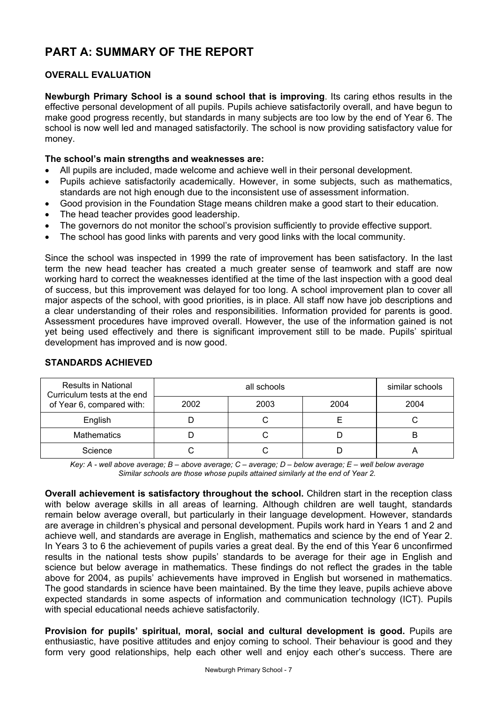# **PART A: SUMMARY OF THE REPORT**

## **OVERALL EVALUATION**

**Newburgh Primary School is a sound school that is improving**. Its caring ethos results in the effective personal development of all pupils. Pupils achieve satisfactorily overall, and have begun to make good progress recently, but standards in many subjects are too low by the end of Year 6. The school is now well led and managed satisfactorily. The school is now providing satisfactory value for money.

## **The school's main strengths and weaknesses are:**

- All pupils are included, made welcome and achieve well in their personal development.
- Pupils achieve satisfactorily academically. However, in some subjects, such as mathematics, standards are not high enough due to the inconsistent use of assessment information.
- Good provision in the Foundation Stage means children make a good start to their education.
- The head teacher provides good leadership.
- The governors do not monitor the school's provision sufficiently to provide effective support.
- The school has good links with parents and very good links with the local community.

Since the school was inspected in 1999 the rate of improvement has been satisfactory. In the last term the new head teacher has created a much greater sense of teamwork and staff are now working hard to correct the weaknesses identified at the time of the last inspection with a good deal of success, but this improvement was delayed for too long. A school improvement plan to cover all major aspects of the school, with good priorities, is in place. All staff now have job descriptions and a clear understanding of their roles and responsibilities. Information provided for parents is good. Assessment procedures have improved overall. However, the use of the information gained is not yet being used effectively and there is significant improvement still to be made. Pupils' spiritual development has improved and is now good.

| <b>Results in National</b><br>Curriculum tests at the end |      | similar schools |      |      |
|-----------------------------------------------------------|------|-----------------|------|------|
| of Year 6, compared with:                                 | 2002 | 2003            | 2004 | 2004 |
| English                                                   |      |                 |      |      |
| <b>Mathematics</b>                                        |      |                 |      | В    |
| Science                                                   |      |                 |      |      |

## **STANDARDS ACHIEVED**

*Key: A - well above average; B – above average; C – average; D – below average; E – well below average Similar schools are those whose pupils attained similarly at the end of Year 2.* 

**Overall achievement is satisfactory throughout the school.** Children start in the reception class with below average skills in all areas of learning. Although children are well taught, standards remain below average overall, but particularly in their language development. However, standards are average in children's physical and personal development. Pupils work hard in Years 1 and 2 and achieve well, and standards are average in English, mathematics and science by the end of Year 2. In Years 3 to 6 the achievement of pupils varies a great deal. By the end of this Year 6 unconfirmed results in the national tests show pupils' standards to be average for their age in English and science but below average in mathematics. These findings do not reflect the grades in the table above for 2004, as pupils' achievements have improved in English but worsened in mathematics. The good standards in science have been maintained. By the time they leave, pupils achieve above expected standards in some aspects of information and communication technology (ICT). Pupils with special educational needs achieve satisfactorily.

**Provision for pupils' spiritual, moral, social and cultural development is good.** Pupils are enthusiastic, have positive attitudes and enjoy coming to school. Their behaviour is good and they form very good relationships, help each other well and enjoy each other's success. There are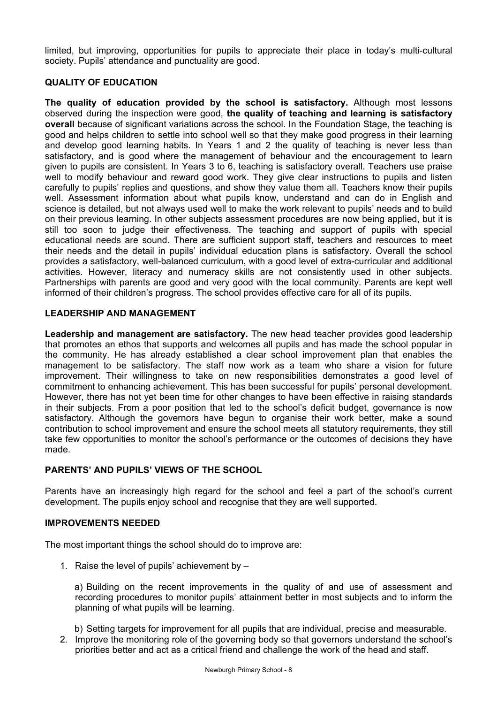limited, but improving, opportunities for pupils to appreciate their place in today's multi-cultural society. Pupils' attendance and punctuality are good.

## **QUALITY OF EDUCATION**

**The quality of education provided by the school is satisfactory.** Although most lessons observed during the inspection were good, **the quality of teaching and learning is satisfactory overall** because of significant variations across the school. In the Foundation Stage, the teaching is good and helps children to settle into school well so that they make good progress in their learning and develop good learning habits. In Years 1 and 2 the quality of teaching is never less than satisfactory, and is good where the management of behaviour and the encouragement to learn given to pupils are consistent. In Years 3 to 6, teaching is satisfactory overall. Teachers use praise well to modify behaviour and reward good work. They give clear instructions to pupils and listen carefully to pupils' replies and questions, and show they value them all. Teachers know their pupils well. Assessment information about what pupils know, understand and can do in English and science is detailed, but not always used well to make the work relevant to pupils' needs and to build on their previous learning. In other subjects assessment procedures are now being applied, but it is still too soon to judge their effectiveness. The teaching and support of pupils with special educational needs are sound. There are sufficient support staff, teachers and resources to meet their needs and the detail in pupils' individual education plans is satisfactory. Overall the school provides a satisfactory, well-balanced curriculum, with a good level of extra-curricular and additional activities. However, literacy and numeracy skills are not consistently used in other subjects. Partnerships with parents are good and very good with the local community. Parents are kept well informed of their children's progress. The school provides effective care for all of its pupils.

## **LEADERSHIP AND MANAGEMENT**

**Leadership and management are satisfactory.** The new head teacher provides good leadership that promotes an ethos that supports and welcomes all pupils and has made the school popular in the community. He has already established a clear school improvement plan that enables the management to be satisfactory. The staff now work as a team who share a vision for future improvement. Their willingness to take on new responsibilities demonstrates a good level of commitment to enhancing achievement. This has been successful for pupils' personal development. However, there has not yet been time for other changes to have been effective in raising standards in their subjects. From a poor position that led to the school's deficit budget, governance is now satisfactory. Although the governors have begun to organise their work better, make a sound contribution to school improvement and ensure the school meets all statutory requirements, they still take few opportunities to monitor the school's performance or the outcomes of decisions they have made.

## **PARENTS' AND PUPILS' VIEWS OF THE SCHOOL**

Parents have an increasingly high regard for the school and feel a part of the school's current development. The pupils enjoy school and recognise that they are well supported.

## **IMPROVEMENTS NEEDED**

The most important things the school should do to improve are:

1. Raise the level of pupils' achievement by –

a) Building on the recent improvements in the quality of and use of assessment and recording procedures to monitor pupils' attainment better in most subjects and to inform the planning of what pupils will be learning.

b) Setting targets for improvement for all pupils that are individual, precise and measurable. 2. Improve the monitoring role of the governing body so that governors understand the school's priorities better and act as a critical friend and challenge the work of the head and staff.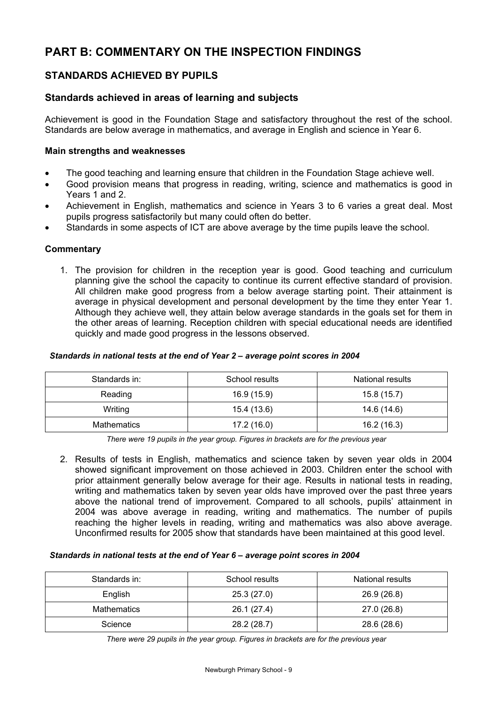# **PART B: COMMENTARY ON THE INSPECTION FINDINGS**

## **STANDARDS ACHIEVED BY PUPILS**

## **Standards achieved in areas of learning and subjects**

Achievement is good in the Foundation Stage and satisfactory throughout the rest of the school. Standards are below average in mathematics, and average in English and science in Year 6.

### **Main strengths and weaknesses**

- The good teaching and learning ensure that children in the Foundation Stage achieve well.
- Good provision means that progress in reading, writing, science and mathematics is good in Years 1 and 2.
- Achievement in English, mathematics and science in Years 3 to 6 varies a great deal. Most pupils progress satisfactorily but many could often do better.
- Standards in some aspects of ICT are above average by the time pupils leave the school.

### **Commentary**

1. The provision for children in the reception year is good. Good teaching and curriculum planning give the school the capacity to continue its current effective standard of provision. All children make good progress from a below average starting point. Their attainment is average in physical development and personal development by the time they enter Year 1. Although they achieve well, they attain below average standards in the goals set for them in the other areas of learning. Reception children with special educational needs are identified quickly and made good progress in the lessons observed.

## *Standards in national tests at the end of Year 2 – average point scores in 2004*

| Standards in: | School results | National results |
|---------------|----------------|------------------|
| Reading       | 16.9 (15.9)    | 15.8(15.7)       |
| Writing       | 15.4 (13.6)    | 14.6 (14.6)      |
| Mathematics   | 17.2(16.0)     | 16.2 (16.3)      |

*There were 19 pupils in the year group. Figures in brackets are for the previous year* 

2. Results of tests in English, mathematics and science taken by seven year olds in 2004 showed significant improvement on those achieved in 2003. Children enter the school with prior attainment generally below average for their age. Results in national tests in reading, writing and mathematics taken by seven year olds have improved over the past three years above the national trend of improvement. Compared to all schools, pupils' attainment in 2004 was above average in reading, writing and mathematics. The number of pupils reaching the higher levels in reading, writing and mathematics was also above average. Unconfirmed results for 2005 show that standards have been maintained at this good level.

#### *Standards in national tests at the end of Year 6 – average point scores in 2004*

| Standards in: | School results | National results |
|---------------|----------------|------------------|
| English       | 25.3(27.0)     | 26.9 (26.8)      |
| Mathematics   | 26.1 (27.4)    | 27.0 (26.8)      |
| Science       | 28.2 (28.7)    | 28.6 (28.6)      |

*There were 29 pupils in the year group. Figures in brackets are for the previous year*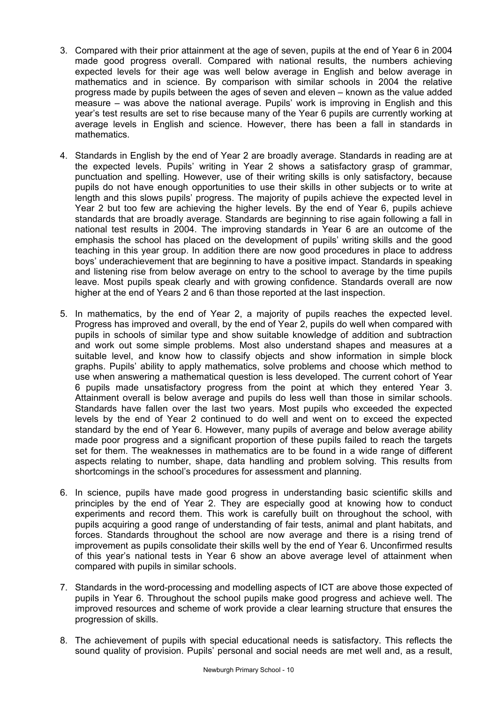- 3. Compared with their prior attainment at the age of seven, pupils at the end of Year 6 in 2004 made good progress overall. Compared with national results, the numbers achieving expected levels for their age was well below average in English and below average in mathematics and in science. By comparison with similar schools in 2004 the relative progress made by pupils between the ages of seven and eleven – known as the value added measure – was above the national average. Pupils' work is improving in English and this year's test results are set to rise because many of the Year 6 pupils are currently working at average levels in English and science. However, there has been a fall in standards in mathematics.
- 4. Standards in English by the end of Year 2 are broadly average. Standards in reading are at the expected levels. Pupils' writing in Year 2 shows a satisfactory grasp of grammar, punctuation and spelling. However, use of their writing skills is only satisfactory, because pupils do not have enough opportunities to use their skills in other subjects or to write at length and this slows pupils' progress. The majority of pupils achieve the expected level in Year 2 but too few are achieving the higher levels. By the end of Year 6, pupils achieve standards that are broadly average. Standards are beginning to rise again following a fall in national test results in 2004. The improving standards in Year 6 are an outcome of the emphasis the school has placed on the development of pupils' writing skills and the good teaching in this year group. In addition there are now good procedures in place to address boys' underachievement that are beginning to have a positive impact. Standards in speaking and listening rise from below average on entry to the school to average by the time pupils leave. Most pupils speak clearly and with growing confidence. Standards overall are now higher at the end of Years 2 and 6 than those reported at the last inspection.
- 5. In mathematics, by the end of Year 2, a majority of pupils reaches the expected level. Progress has improved and overall, by the end of Year 2, pupils do well when compared with pupils in schools of similar type and show suitable knowledge of addition and subtraction and work out some simple problems. Most also understand shapes and measures at a suitable level, and know how to classify objects and show information in simple block graphs. Pupils' ability to apply mathematics, solve problems and choose which method to use when answering a mathematical question is less developed. The current cohort of Year 6 pupils made unsatisfactory progress from the point at which they entered Year 3. Attainment overall is below average and pupils do less well than those in similar schools. Standards have fallen over the last two years. Most pupils who exceeded the expected levels by the end of Year 2 continued to do well and went on to exceed the expected standard by the end of Year 6. However, many pupils of average and below average ability made poor progress and a significant proportion of these pupils failed to reach the targets set for them. The weaknesses in mathematics are to be found in a wide range of different aspects relating to number, shape, data handling and problem solving. This results from shortcomings in the school's procedures for assessment and planning.
- 6. In science, pupils have made good progress in understanding basic scientific skills and principles by the end of Year 2. They are especially good at knowing how to conduct experiments and record them. This work is carefully built on throughout the school, with pupils acquiring a good range of understanding of fair tests, animal and plant habitats, and forces. Standards throughout the school are now average and there is a rising trend of improvement as pupils consolidate their skills well by the end of Year 6. Unconfirmed results of this year's national tests in Year 6 show an above average level of attainment when compared with pupils in similar schools.
- 7. Standards in the word-processing and modelling aspects of ICT are above those expected of pupils in Year 6. Throughout the school pupils make good progress and achieve well. The improved resources and scheme of work provide a clear learning structure that ensures the progression of skills.
- 8. The achievement of pupils with special educational needs is satisfactory. This reflects the sound quality of provision. Pupils' personal and social needs are met well and, as a result,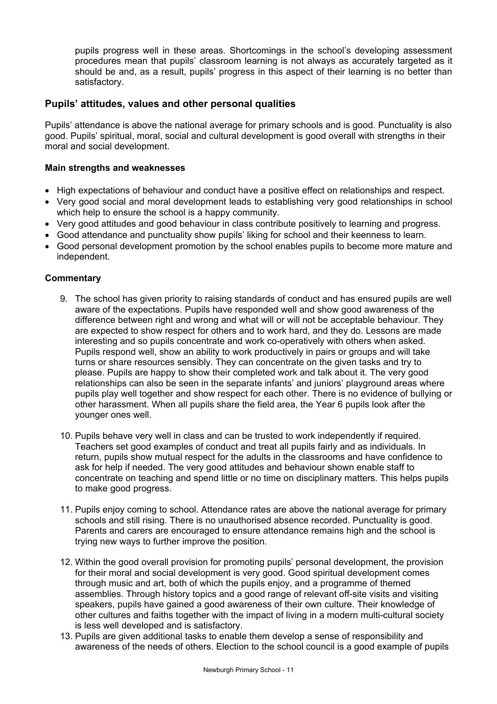pupils progress well in these areas. Shortcomings in the school's developing assessment procedures mean that pupils' classroom learning is not always as accurately targeted as it should be and, as a result, pupils' progress in this aspect of their learning is no better than satisfactory.

## **Pupils' attitudes, values and other personal qualities**

Pupils' attendance is above the national average for primary schools and is good. Punctuality is also good. Pupils' spiritual, moral, social and cultural development is good overall with strengths in their moral and social development.

## **Main strengths and weaknesses**

- High expectations of behaviour and conduct have a positive effect on relationships and respect.
- Very good social and moral development leads to establishing very good relationships in school which help to ensure the school is a happy community.
- Very good attitudes and good behaviour in class contribute positively to learning and progress.
- Good attendance and punctuality show pupils' liking for school and their keenness to learn.
- Good personal development promotion by the school enables pupils to become more mature and independent.

- 9. The school has given priority to raising standards of conduct and has ensured pupils are well aware of the expectations. Pupils have responded well and show good awareness of the difference between right and wrong and what will or will not be acceptable behaviour. They are expected to show respect for others and to work hard, and they do. Lessons are made interesting and so pupils concentrate and work co-operatively with others when asked. Pupils respond well, show an ability to work productively in pairs or groups and will take turns or share resources sensibly. They can concentrate on the given tasks and try to please. Pupils are happy to show their completed work and talk about it. The very good relationships can also be seen in the separate infants' and juniors' playground areas where pupils play well together and show respect for each other. There is no evidence of bullying or other harassment. When all pupils share the field area, the Year 6 pupils look after the younger ones well.
- 10. Pupils behave very well in class and can be trusted to work independently if required. Teachers set good examples of conduct and treat all pupils fairly and as individuals. In return, pupils show mutual respect for the adults in the classrooms and have confidence to ask for help if needed. The very good attitudes and behaviour shown enable staff to concentrate on teaching and spend little or no time on disciplinary matters. This helps pupils to make good progress.
- 11. Pupils enjoy coming to school. Attendance rates are above the national average for primary schools and still rising. There is no unauthorised absence recorded. Punctuality is good. Parents and carers are encouraged to ensure attendance remains high and the school is trying new ways to further improve the position.
- 12. Within the good overall provision for promoting pupils' personal development, the provision for their moral and social development is very good. Good spiritual development comes through music and art, both of which the pupils enjoy, and a programme of themed assemblies. Through history topics and a good range of relevant off-site visits and visiting speakers, pupils have gained a good awareness of their own culture. Their knowledge of other cultures and faiths together with the impact of living in a modern multi-cultural society is less well developed and is satisfactory.
- 13. Pupils are given additional tasks to enable them develop a sense of responsibility and awareness of the needs of others. Election to the school council is a good example of pupils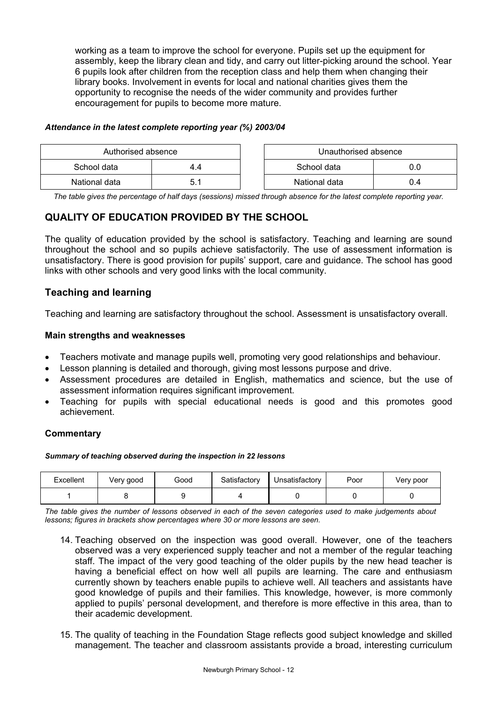working as a team to improve the school for everyone. Pupils set up the equipment for assembly, keep the library clean and tidy, and carry out litter-picking around the school. Year 6 pupils look after children from the reception class and help them when changing their library books. Involvement in events for local and national charities gives them the opportunity to recognise the needs of the wider community and provides further encouragement for pupils to become more mature.

### *Attendance in the latest complete reporting year (%) 2003/04*

| Authorised absence |       | Unauthorised absence |     |
|--------------------|-------|----------------------|-----|
| School data<br>4.4 |       | School data          |     |
| National data      | ا . ن | National data        | J.4 |

*The table gives the percentage of half days (sessions) missed through absence for the latest complete reporting year.*

## **QUALITY OF EDUCATION PROVIDED BY THE SCHOOL**

The quality of education provided by the school is satisfactory. Teaching and learning are sound throughout the school and so pupils achieve satisfactorily. The use of assessment information is unsatisfactory. There is good provision for pupils' support, care and guidance. The school has good links with other schools and very good links with the local community.

## **Teaching and learning**

Teaching and learning are satisfactory throughout the school. Assessment is unsatisfactory overall.

## **Main strengths and weaknesses**

- Teachers motivate and manage pupils well, promoting very good relationships and behaviour.
- Lesson planning is detailed and thorough, giving most lessons purpose and drive.
- Assessment procedures are detailed in English, mathematics and science, but the use of assessment information requires significant improvement.
- Teaching for pupils with special educational needs is good and this promotes good achievement.

## **Commentary**

#### *Summary of teaching observed during the inspection in 22 lessons*

| Excellent | Very good | Good | Satisfactory | Unsatisfactory | Poor | Very poor |
|-----------|-----------|------|--------------|----------------|------|-----------|
|           |           |      |              |                |      |           |

*The table gives the number of lessons observed in each of the seven categories used to make judgements about lessons; figures in brackets show percentages where 30 or more lessons are seen.* 

- 14. Teaching observed on the inspection was good overall. However, one of the teachers observed was a very experienced supply teacher and not a member of the regular teaching staff. The impact of the very good teaching of the older pupils by the new head teacher is having a beneficial effect on how well all pupils are learning. The care and enthusiasm currently shown by teachers enable pupils to achieve well. All teachers and assistants have good knowledge of pupils and their families. This knowledge, however, is more commonly applied to pupils' personal development, and therefore is more effective in this area, than to their academic development.
- 15. The quality of teaching in the Foundation Stage reflects good subject knowledge and skilled management. The teacher and classroom assistants provide a broad, interesting curriculum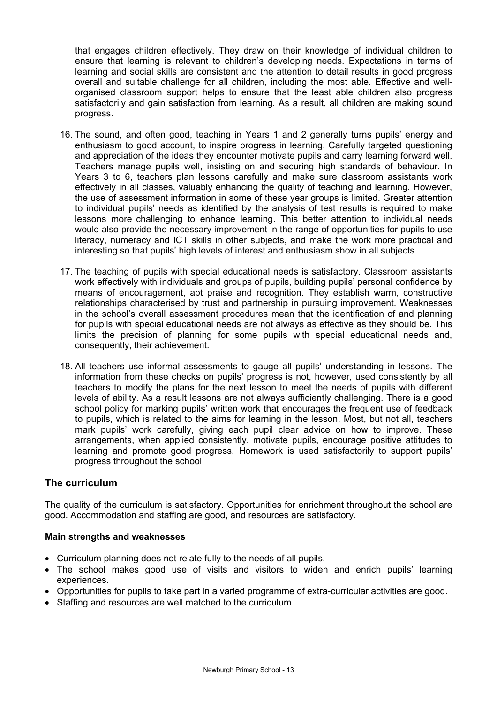that engages children effectively. They draw on their knowledge of individual children to ensure that learning is relevant to children's developing needs. Expectations in terms of learning and social skills are consistent and the attention to detail results in good progress overall and suitable challenge for all children, including the most able. Effective and wellorganised classroom support helps to ensure that the least able children also progress satisfactorily and gain satisfaction from learning. As a result, all children are making sound progress.

- 16. The sound, and often good, teaching in Years 1 and 2 generally turns pupils' energy and enthusiasm to good account, to inspire progress in learning. Carefully targeted questioning and appreciation of the ideas they encounter motivate pupils and carry learning forward well. Teachers manage pupils well, insisting on and securing high standards of behaviour. In Years 3 to 6, teachers plan lessons carefully and make sure classroom assistants work effectively in all classes, valuably enhancing the quality of teaching and learning. However, the use of assessment information in some of these year groups is limited. Greater attention to individual pupils' needs as identified by the analysis of test results is required to make lessons more challenging to enhance learning. This better attention to individual needs would also provide the necessary improvement in the range of opportunities for pupils to use literacy, numeracy and ICT skills in other subjects, and make the work more practical and interesting so that pupils' high levels of interest and enthusiasm show in all subjects.
- 17. The teaching of pupils with special educational needs is satisfactory. Classroom assistants work effectively with individuals and groups of pupils, building pupils' personal confidence by means of encouragement, apt praise and recognition. They establish warm, constructive relationships characterised by trust and partnership in pursuing improvement. Weaknesses in the school's overall assessment procedures mean that the identification of and planning for pupils with special educational needs are not always as effective as they should be. This limits the precision of planning for some pupils with special educational needs and, consequently, their achievement.
- 18. All teachers use informal assessments to gauge all pupils' understanding in lessons. The information from these checks on pupils' progress is not, however, used consistently by all teachers to modify the plans for the next lesson to meet the needs of pupils with different levels of ability. As a result lessons are not always sufficiently challenging. There is a good school policy for marking pupils' written work that encourages the frequent use of feedback to pupils, which is related to the aims for learning in the lesson. Most, but not all, teachers mark pupils' work carefully, giving each pupil clear advice on how to improve. These arrangements, when applied consistently, motivate pupils, encourage positive attitudes to learning and promote good progress. Homework is used satisfactorily to support pupils' progress throughout the school.

## **The curriculum**

The quality of the curriculum is satisfactory. Opportunities for enrichment throughout the school are good. Accommodation and staffing are good, and resources are satisfactory.

#### **Main strengths and weaknesses**

- Curriculum planning does not relate fully to the needs of all pupils.
- The school makes good use of visits and visitors to widen and enrich pupils' learning experiences.
- Opportunities for pupils to take part in a varied programme of extra-curricular activities are good.
- Staffing and resources are well matched to the curriculum.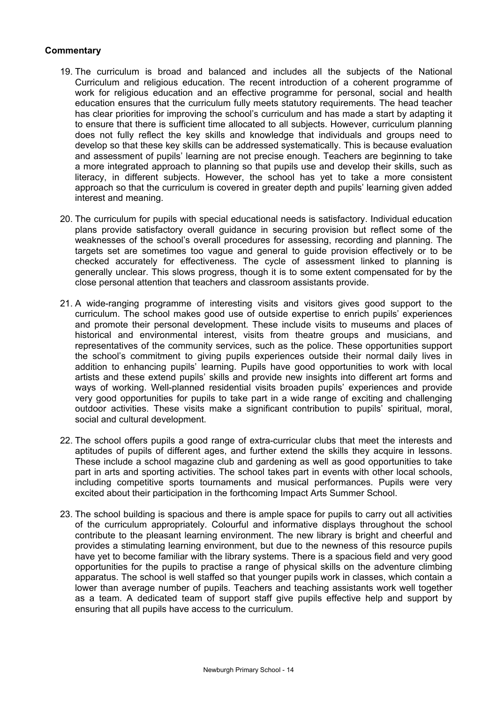- 19. The curriculum is broad and balanced and includes all the subjects of the National Curriculum and religious education. The recent introduction of a coherent programme of work for religious education and an effective programme for personal, social and health education ensures that the curriculum fully meets statutory requirements. The head teacher has clear priorities for improving the school's curriculum and has made a start by adapting it to ensure that there is sufficient time allocated to all subjects. However, curriculum planning does not fully reflect the key skills and knowledge that individuals and groups need to develop so that these key skills can be addressed systematically. This is because evaluation and assessment of pupils' learning are not precise enough. Teachers are beginning to take a more integrated approach to planning so that pupils use and develop their skills, such as literacy, in different subjects. However, the school has yet to take a more consistent approach so that the curriculum is covered in greater depth and pupils' learning given added interest and meaning.
- 20. The curriculum for pupils with special educational needs is satisfactory. Individual education plans provide satisfactory overall guidance in securing provision but reflect some of the weaknesses of the school's overall procedures for assessing, recording and planning. The targets set are sometimes too vague and general to guide provision effectively or to be checked accurately for effectiveness. The cycle of assessment linked to planning is generally unclear. This slows progress, though it is to some extent compensated for by the close personal attention that teachers and classroom assistants provide.
- 21. A wide-ranging programme of interesting visits and visitors gives good support to the curriculum. The school makes good use of outside expertise to enrich pupils' experiences and promote their personal development. These include visits to museums and places of historical and environmental interest, visits from theatre groups and musicians, and representatives of the community services, such as the police. These opportunities support the school's commitment to giving pupils experiences outside their normal daily lives in addition to enhancing pupils' learning. Pupils have good opportunities to work with local artists and these extend pupils' skills and provide new insights into different art forms and ways of working. Well-planned residential visits broaden pupils' experiences and provide very good opportunities for pupils to take part in a wide range of exciting and challenging outdoor activities. These visits make a significant contribution to pupils' spiritual, moral, social and cultural development.
- 22. The school offers pupils a good range of extra-curricular clubs that meet the interests and aptitudes of pupils of different ages, and further extend the skills they acquire in lessons. These include a school magazine club and gardening as well as good opportunities to take part in arts and sporting activities. The school takes part in events with other local schools, including competitive sports tournaments and musical performances. Pupils were very excited about their participation in the forthcoming Impact Arts Summer School.
- 23. The school building is spacious and there is ample space for pupils to carry out all activities of the curriculum appropriately. Colourful and informative displays throughout the school contribute to the pleasant learning environment. The new library is bright and cheerful and provides a stimulating learning environment, but due to the newness of this resource pupils have yet to become familiar with the library systems. There is a spacious field and very good opportunities for the pupils to practise a range of physical skills on the adventure climbing apparatus. The school is well staffed so that younger pupils work in classes, which contain a lower than average number of pupils. Teachers and teaching assistants work well together as a team. A dedicated team of support staff give pupils effective help and support by ensuring that all pupils have access to the curriculum.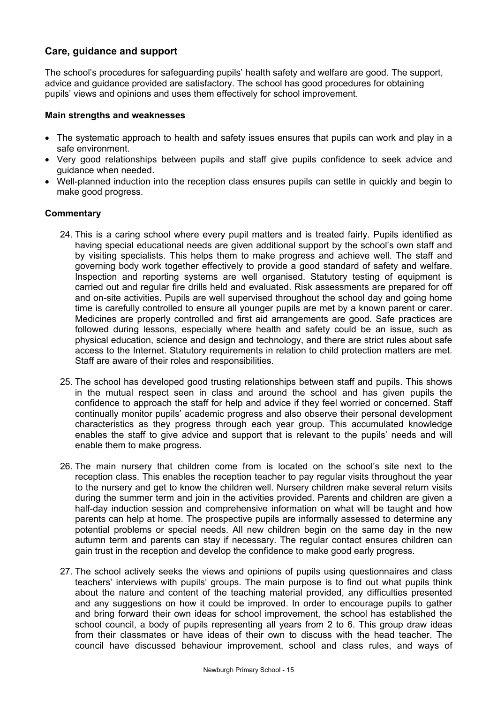## **Care, guidance and support**

The school's procedures for safeguarding pupils' health safety and welfare are good. The support, advice and guidance provided are satisfactory. The school has good procedures for obtaining pupils' views and opinions and uses them effectively for school improvement.

#### **Main strengths and weaknesses**

- The systematic approach to health and safety issues ensures that pupils can work and play in a safe environment.
- Very good relationships between pupils and staff give pupils confidence to seek advice and guidance when needed.
- Well-planned induction into the reception class ensures pupils can settle in quickly and begin to make good progress.

- 24. This is a caring school where every pupil matters and is treated fairly. Pupils identified as having special educational needs are given additional support by the school's own staff and by visiting specialists. This helps them to make progress and achieve well. The staff and governing body work together effectively to provide a good standard of safety and welfare. Inspection and reporting systems are well organised. Statutory testing of equipment is carried out and regular fire drills held and evaluated. Risk assessments are prepared for off and on-site activities. Pupils are well supervised throughout the school day and going home time is carefully controlled to ensure all younger pupils are met by a known parent or carer. Medicines are properly controlled and first aid arrangements are good. Safe practices are followed during lessons, especially where health and safety could be an issue, such as physical education, science and design and technology, and there are strict rules about safe access to the Internet. Statutory requirements in relation to child protection matters are met. Staff are aware of their roles and responsibilities.
- 25. The school has developed good trusting relationships between staff and pupils. This shows in the mutual respect seen in class and around the school and has given pupils the confidence to approach the staff for help and advice if they feel worried or concerned. Staff continually monitor pupils' academic progress and also observe their personal development characteristics as they progress through each year group. This accumulated knowledge enables the staff to give advice and support that is relevant to the pupils' needs and will enable them to make progress.
- 26. The main nursery that children come from is located on the school's site next to the reception class. This enables the reception teacher to pay regular visits throughout the year to the nursery and get to know the children well. Nursery children make several return visits during the summer term and join in the activities provided. Parents and children are given a half-day induction session and comprehensive information on what will be taught and how parents can help at home. The prospective pupils are informally assessed to determine any potential problems or special needs. All new children begin on the same day in the new autumn term and parents can stay if necessary. The regular contact ensures children can gain trust in the reception and develop the confidence to make good early progress.
- 27. The school actively seeks the views and opinions of pupils using questionnaires and class teachers' interviews with pupils' groups. The main purpose is to find out what pupils think about the nature and content of the teaching material provided, any difficulties presented and any suggestions on how it could be improved. In order to encourage pupils to gather and bring forward their own ideas for school improvement, the school has established the school council, a body of pupils representing all years from 2 to 6. This group draw ideas from their classmates or have ideas of their own to discuss with the head teacher. The council have discussed behaviour improvement, school and class rules, and ways of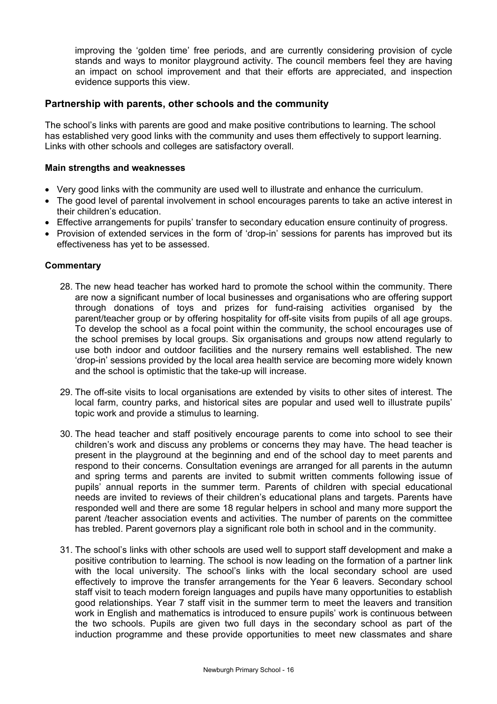improving the 'golden time' free periods, and are currently considering provision of cycle stands and ways to monitor playground activity. The council members feel they are having an impact on school improvement and that their efforts are appreciated, and inspection evidence supports this view.

## **Partnership with parents, other schools and the community**

The school's links with parents are good and make positive contributions to learning. The school has established very good links with the community and uses them effectively to support learning. Links with other schools and colleges are satisfactory overall.

### **Main strengths and weaknesses**

- Very good links with the community are used well to illustrate and enhance the curriculum.
- The good level of parental involvement in school encourages parents to take an active interest in their children's education.
- Effective arrangements for pupils' transfer to secondary education ensure continuity of progress.
- Provision of extended services in the form of 'drop-in' sessions for parents has improved but its effectiveness has yet to be assessed.

- 28. The new head teacher has worked hard to promote the school within the community. There are now a significant number of local businesses and organisations who are offering support through donations of toys and prizes for fund-raising activities organised by the parent/teacher group or by offering hospitality for off-site visits from pupils of all age groups. To develop the school as a focal point within the community, the school encourages use of the school premises by local groups. Six organisations and groups now attend regularly to use both indoor and outdoor facilities and the nursery remains well established. The new 'drop-in' sessions provided by the local area health service are becoming more widely known and the school is optimistic that the take-up will increase.
- 29. The off-site visits to local organisations are extended by visits to other sites of interest. The local farm, country parks, and historical sites are popular and used well to illustrate pupils' topic work and provide a stimulus to learning.
- 30. The head teacher and staff positively encourage parents to come into school to see their children's work and discuss any problems or concerns they may have. The head teacher is present in the playground at the beginning and end of the school day to meet parents and respond to their concerns. Consultation evenings are arranged for all parents in the autumn and spring terms and parents are invited to submit written comments following issue of pupils' annual reports in the summer term. Parents of children with special educational needs are invited to reviews of their children's educational plans and targets. Parents have responded well and there are some 18 regular helpers in school and many more support the parent /teacher association events and activities. The number of parents on the committee has trebled. Parent governors play a significant role both in school and in the community.
- 31. The school's links with other schools are used well to support staff development and make a positive contribution to learning. The school is now leading on the formation of a partner link with the local university. The school's links with the local secondary school are used effectively to improve the transfer arrangements for the Year 6 leavers. Secondary school staff visit to teach modern foreign languages and pupils have many opportunities to establish good relationships. Year 7 staff visit in the summer term to meet the leavers and transition work in English and mathematics is introduced to ensure pupils' work is continuous between the two schools. Pupils are given two full days in the secondary school as part of the induction programme and these provide opportunities to meet new classmates and share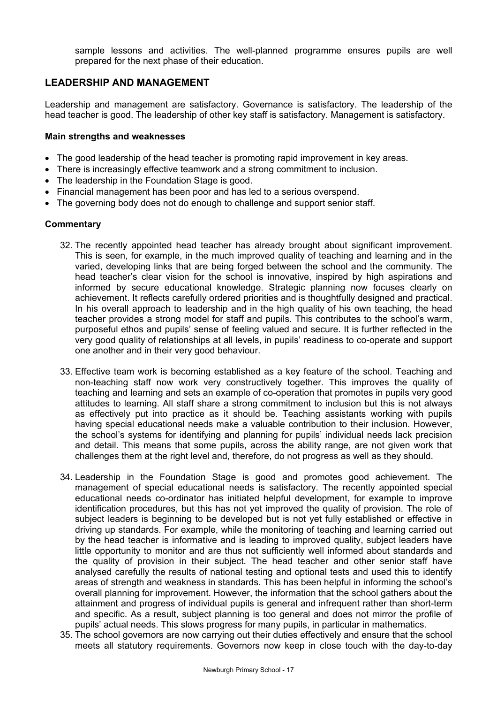sample lessons and activities. The well-planned programme ensures pupils are well prepared for the next phase of their education.

## **LEADERSHIP AND MANAGEMENT**

Leadership and management are satisfactory. Governance is satisfactory. The leadership of the head teacher is good. The leadership of other key staff is satisfactory. Management is satisfactory.

#### **Main strengths and weaknesses**

- The good leadership of the head teacher is promoting rapid improvement in key areas.
- There is increasingly effective teamwork and a strong commitment to inclusion.
- The leadership in the Foundation Stage is good.
- Financial management has been poor and has led to a serious overspend.
- The governing body does not do enough to challenge and support senior staff.

- 32. The recently appointed head teacher has already brought about significant improvement. This is seen, for example, in the much improved quality of teaching and learning and in the varied, developing links that are being forged between the school and the community. The head teacher's clear vision for the school is innovative, inspired by high aspirations and informed by secure educational knowledge. Strategic planning now focuses clearly on achievement. It reflects carefully ordered priorities and is thoughtfully designed and practical. In his overall approach to leadership and in the high quality of his own teaching, the head teacher provides a strong model for staff and pupils. This contributes to the school's warm, purposeful ethos and pupils' sense of feeling valued and secure. It is further reflected in the very good quality of relationships at all levels, in pupils' readiness to co-operate and support one another and in their very good behaviour.
- 33. Effective team work is becoming established as a key feature of the school. Teaching and non-teaching staff now work very constructively together. This improves the quality of teaching and learning and sets an example of co-operation that promotes in pupils very good attitudes to learning. All staff share a strong commitment to inclusion but this is not always as effectively put into practice as it should be. Teaching assistants working with pupils having special educational needs make a valuable contribution to their inclusion. However, the school's systems for identifying and planning for pupils' individual needs lack precision and detail. This means that some pupils, across the ability range, are not given work that challenges them at the right level and, therefore, do not progress as well as they should.
- 34. Leadership in the Foundation Stage is good and promotes good achievement. The management of special educational needs is satisfactory. The recently appointed special educational needs co-ordinator has initiated helpful development, for example to improve identification procedures, but this has not yet improved the quality of provision. The role of subject leaders is beginning to be developed but is not yet fully established or effective in driving up standards. For example, while the monitoring of teaching and learning carried out by the head teacher is informative and is leading to improved quality, subject leaders have little opportunity to monitor and are thus not sufficiently well informed about standards and the quality of provision in their subject. The head teacher and other senior staff have analysed carefully the results of national testing and optional tests and used this to identify areas of strength and weakness in standards. This has been helpful in informing the school's overall planning for improvement. However, the information that the school gathers about the attainment and progress of individual pupils is general and infrequent rather than short-term and specific. As a result, subject planning is too general and does not mirror the profile of pupils' actual needs. This slows progress for many pupils, in particular in mathematics.
- 35. The school governors are now carrying out their duties effectively and ensure that the school meets all statutory requirements. Governors now keep in close touch with the day-to-day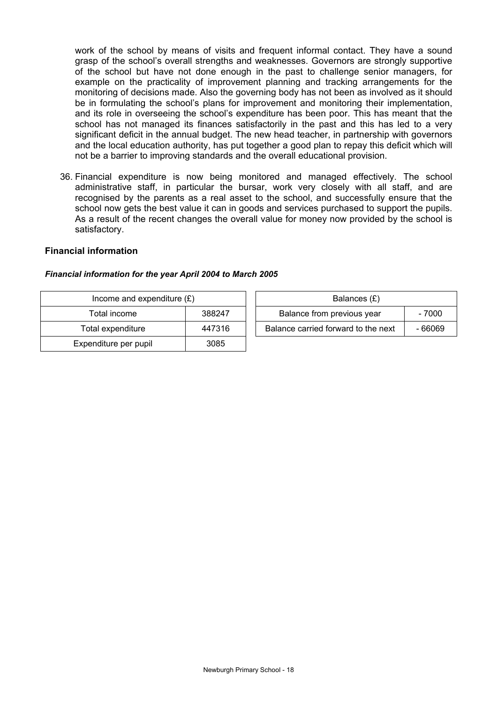work of the school by means of visits and frequent informal contact. They have a sound grasp of the school's overall strengths and weaknesses. Governors are strongly supportive of the school but have not done enough in the past to challenge senior managers, for example on the practicality of improvement planning and tracking arrangements for the monitoring of decisions made. Also the governing body has not been as involved as it should be in formulating the school's plans for improvement and monitoring their implementation, and its role in overseeing the school's expenditure has been poor. This has meant that the school has not managed its finances satisfactorily in the past and this has led to a very significant deficit in the annual budget. The new head teacher, in partnership with governors and the local education authority, has put together a good plan to repay this deficit which will not be a barrier to improving standards and the overall educational provision.

36. Financial expenditure is now being monitored and managed effectively. The school administrative staff, in particular the bursar, work very closely with all staff, and are recognised by the parents as a real asset to the school, and successfully ensure that the school now gets the best value it can in goods and services purchased to support the pupils. As a result of the recent changes the overall value for money now provided by the school is satisfactory.

### **Financial information**

#### *Financial information for the year April 2004 to March 2005*

| Income and expenditure $(E)$ |        | Balances (£)                                   |  |  |
|------------------------------|--------|------------------------------------------------|--|--|
| Total income                 | 388247 | Balance from previous year<br>- 7000           |  |  |
| Total expenditure            | 447316 | Balance carried forward to the next<br>- 66069 |  |  |
| Expenditure per pupil        | 3085   |                                                |  |  |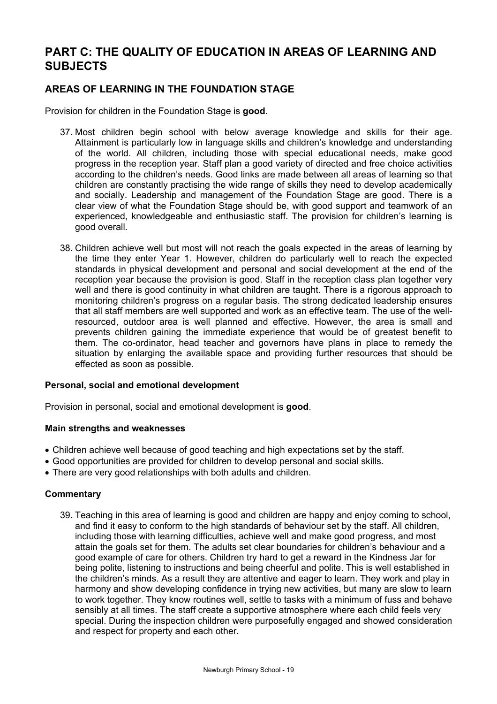# **PART C: THE QUALITY OF EDUCATION IN AREAS OF LEARNING AND SUBJECTS**

## **AREAS OF LEARNING IN THE FOUNDATION STAGE**

Provision for children in the Foundation Stage is **good**.

- 37. Most children begin school with below average knowledge and skills for their age. Attainment is particularly low in language skills and children's knowledge and understanding of the world. All children, including those with special educational needs, make good progress in the reception year. Staff plan a good variety of directed and free choice activities according to the children's needs. Good links are made between all areas of learning so that children are constantly practising the wide range of skills they need to develop academically and socially. Leadership and management of the Foundation Stage are good. There is a clear view of what the Foundation Stage should be, with good support and teamwork of an experienced, knowledgeable and enthusiastic staff. The provision for children's learning is good overall.
- 38. Children achieve well but most will not reach the goals expected in the areas of learning by the time they enter Year 1. However, children do particularly well to reach the expected standards in physical development and personal and social development at the end of the reception year because the provision is good. Staff in the reception class plan together very well and there is good continuity in what children are taught. There is a rigorous approach to monitoring children's progress on a regular basis. The strong dedicated leadership ensures that all staff members are well supported and work as an effective team. The use of the wellresourced, outdoor area is well planned and effective. However, the area is small and prevents children gaining the immediate experience that would be of greatest benefit to them. The co-ordinator, head teacher and governors have plans in place to remedy the situation by enlarging the available space and providing further resources that should be effected as soon as possible.

#### **Personal, social and emotional development**

Provision in personal, social and emotional development is **good**.

#### **Main strengths and weaknesses**

- Children achieve well because of good teaching and high expectations set by the staff.
- Good opportunities are provided for children to develop personal and social skills.
- There are very good relationships with both adults and children.

## **Commentary**

39. Teaching in this area of learning is good and children are happy and enjoy coming to school, and find it easy to conform to the high standards of behaviour set by the staff. All children, including those with learning difficulties, achieve well and make good progress, and most attain the goals set for them. The adults set clear boundaries for children's behaviour and a good example of care for others. Children try hard to get a reward in the Kindness Jar for being polite, listening to instructions and being cheerful and polite. This is well established in the children's minds. As a result they are attentive and eager to learn. They work and play in harmony and show developing confidence in trying new activities, but many are slow to learn to work together. They know routines well, settle to tasks with a minimum of fuss and behave sensibly at all times. The staff create a supportive atmosphere where each child feels very special. During the inspection children were purposefully engaged and showed consideration and respect for property and each other.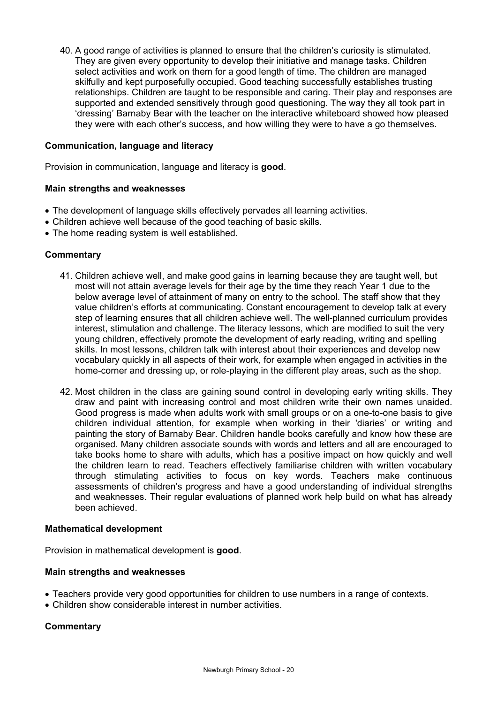40. A good range of activities is planned to ensure that the children's curiosity is stimulated. They are given every opportunity to develop their initiative and manage tasks. Children select activities and work on them for a good length of time. The children are managed skilfully and kept purposefully occupied. Good teaching successfully establishes trusting relationships. Children are taught to be responsible and caring. Their play and responses are supported and extended sensitively through good questioning. The way they all took part in 'dressing' Barnaby Bear with the teacher on the interactive whiteboard showed how pleased they were with each other's success, and how willing they were to have a go themselves.

### **Communication, language and literacy**

Provision in communication, language and literacy is **good**.

#### **Main strengths and weaknesses**

- The development of language skills effectively pervades all learning activities.
- Children achieve well because of the good teaching of basic skills.
- The home reading system is well established.

### **Commentary**

- 41. Children achieve well, and make good gains in learning because they are taught well, but most will not attain average levels for their age by the time they reach Year 1 due to the below average level of attainment of many on entry to the school. The staff show that they value children's efforts at communicating. Constant encouragement to develop talk at every step of learning ensures that all children achieve well. The well-planned curriculum provides interest, stimulation and challenge. The literacy lessons, which are modified to suit the very young children, effectively promote the development of early reading, writing and spelling skills. In most lessons, children talk with interest about their experiences and develop new vocabulary quickly in all aspects of their work, for example when engaged in activities in the home-corner and dressing up, or role-playing in the different play areas, such as the shop.
- 42. Most children in the class are gaining sound control in developing early writing skills. They draw and paint with increasing control and most children write their own names unaided. Good progress is made when adults work with small groups or on a one-to-one basis to give children individual attention, for example when working in their 'diaries' or writing and painting the story of Barnaby Bear. Children handle books carefully and know how these are organised. Many children associate sounds with words and letters and all are encouraged to take books home to share with adults, which has a positive impact on how quickly and well the children learn to read. Teachers effectively familiarise children with written vocabulary through stimulating activities to focus on key words. Teachers make continuous assessments of children's progress and have a good understanding of individual strengths and weaknesses. Their regular evaluations of planned work help build on what has already been achieved.

#### **Mathematical development**

Provision in mathematical development is **good**.

#### **Main strengths and weaknesses**

- Teachers provide very good opportunities for children to use numbers in a range of contexts.
- Children show considerable interest in number activities.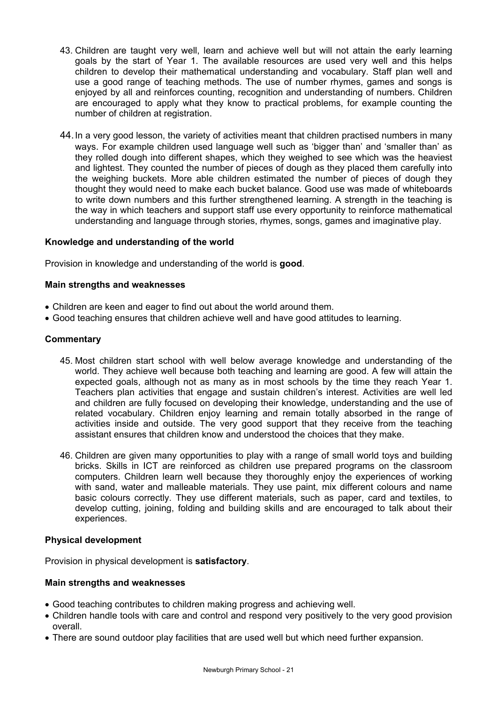- 43. Children are taught very well, learn and achieve well but will not attain the early learning goals by the start of Year 1. The available resources are used very well and this helps children to develop their mathematical understanding and vocabulary. Staff plan well and use a good range of teaching methods. The use of number rhymes, games and songs is enjoyed by all and reinforces counting, recognition and understanding of numbers. Children are encouraged to apply what they know to practical problems, for example counting the number of children at registration.
- 44. In a very good lesson, the variety of activities meant that children practised numbers in many ways. For example children used language well such as 'bigger than' and 'smaller than' as they rolled dough into different shapes, which they weighed to see which was the heaviest and lightest. They counted the number of pieces of dough as they placed them carefully into the weighing buckets. More able children estimated the number of pieces of dough they thought they would need to make each bucket balance. Good use was made of whiteboards to write down numbers and this further strengthened learning. A strength in the teaching is the way in which teachers and support staff use every opportunity to reinforce mathematical understanding and language through stories, rhymes, songs, games and imaginative play.

### **Knowledge and understanding of the world**

Provision in knowledge and understanding of the world is **good**.

### **Main strengths and weaknesses**

- Children are keen and eager to find out about the world around them.
- Good teaching ensures that children achieve well and have good attitudes to learning.

### **Commentary**

- 45. Most children start school with well below average knowledge and understanding of the world. They achieve well because both teaching and learning are good. A few will attain the expected goals, although not as many as in most schools by the time they reach Year 1. Teachers plan activities that engage and sustain children's interest. Activities are well led and children are fully focused on developing their knowledge, understanding and the use of related vocabulary. Children enjoy learning and remain totally absorbed in the range of activities inside and outside. The very good support that they receive from the teaching assistant ensures that children know and understood the choices that they make.
- 46. Children are given many opportunities to play with a range of small world toys and building bricks. Skills in ICT are reinforced as children use prepared programs on the classroom computers. Children learn well because they thoroughly enjoy the experiences of working with sand, water and malleable materials. They use paint, mix different colours and name basic colours correctly. They use different materials, such as paper, card and textiles, to develop cutting, joining, folding and building skills and are encouraged to talk about their experiences.

#### **Physical development**

Provision in physical development is **satisfactory**.

#### **Main strengths and weaknesses**

- Good teaching contributes to children making progress and achieving well.
- Children handle tools with care and control and respond very positively to the very good provision overall.
- There are sound outdoor play facilities that are used well but which need further expansion.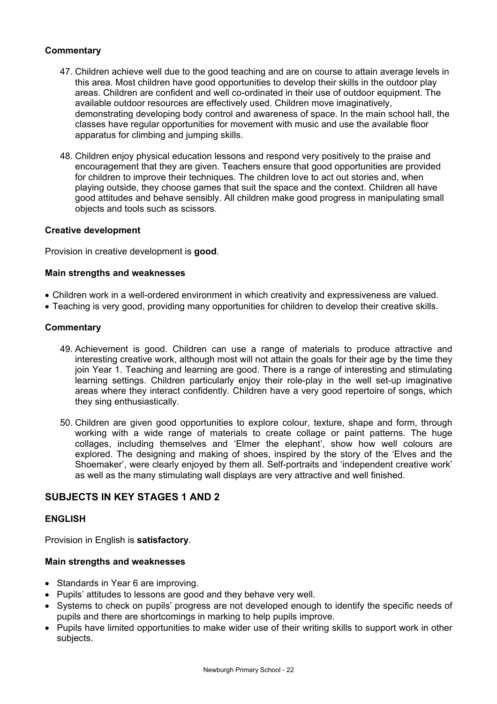## **Commentary**

- 47. Children achieve well due to the good teaching and are on course to attain average levels in this area. Most children have good opportunities to develop their skills in the outdoor play areas. Children are confident and well co-ordinated in their use of outdoor equipment. The available outdoor resources are effectively used. Children move imaginatively, demonstrating developing body control and awareness of space. In the main school hall, the classes have regular opportunities for movement with music and use the available floor apparatus for climbing and jumping skills.
- 48. Children enjoy physical education lessons and respond very positively to the praise and encouragement that they are given. Teachers ensure that good opportunities are provided for children to improve their techniques. The children love to act out stories and, when playing outside, they choose games that suit the space and the context. Children all have good attitudes and behave sensibly. All children make good progress in manipulating small objects and tools such as scissors.

### **Creative development**

Provision in creative development is **good**.

### **Main strengths and weaknesses**

- Children work in a well-ordered environment in which creativity and expressiveness are valued.
- Teaching is very good, providing many opportunities for children to develop their creative skills.

## **Commentary**

- 49. Achievement is good. Children can use a range of materials to produce attractive and interesting creative work, although most will not attain the goals for their age by the time they join Year 1. Teaching and learning are good. There is a range of interesting and stimulating learning settings. Children particularly enjoy their role-play in the well set-up imaginative areas where they interact confidently. Children have a very good repertoire of songs, which they sing enthusiastically.
- 50. Children are given good opportunities to explore colour, texture, shape and form, through working with a wide range of materials to create collage or paint patterns. The huge collages, including themselves and 'Elmer the elephant', show how well colours are explored. The designing and making of shoes, inspired by the story of the 'Elves and the Shoemaker', were clearly enjoyed by them all. Self-portraits and 'independent creative work' as well as the many stimulating wall displays are very attractive and well finished.

## **SUBJECTS IN KEY STAGES 1 AND 2**

#### **ENGLISH**

Provision in English is **satisfactory**.

#### **Main strengths and weaknesses**

- Standards in Year 6 are improving.
- Pupils' attitudes to lessons are good and they behave very well.
- Systems to check on pupils' progress are not developed enough to identify the specific needs of pupils and there are shortcomings in marking to help pupils improve.
- Pupils have limited opportunities to make wider use of their writing skills to support work in other subjects.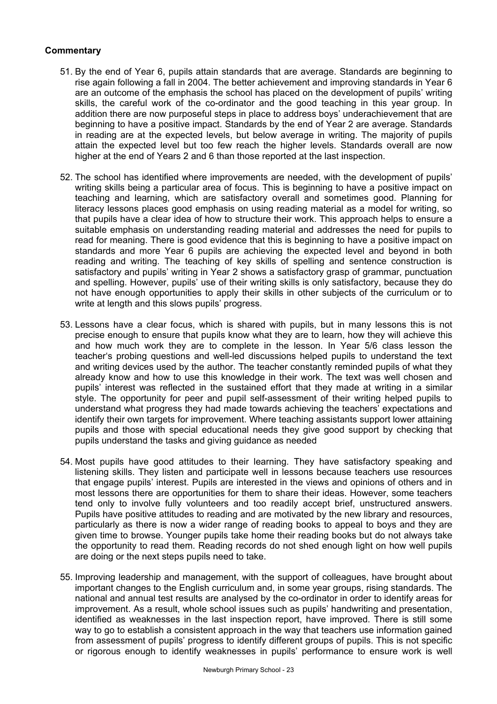- 51. By the end of Year 6, pupils attain standards that are average. Standards are beginning to rise again following a fall in 2004. The better achievement and improving standards in Year 6 are an outcome of the emphasis the school has placed on the development of pupils' writing skills, the careful work of the co-ordinator and the good teaching in this year group. In addition there are now purposeful steps in place to address boys' underachievement that are beginning to have a positive impact. Standards by the end of Year 2 are average. Standards in reading are at the expected levels, but below average in writing. The majority of pupils attain the expected level but too few reach the higher levels. Standards overall are now higher at the end of Years 2 and 6 than those reported at the last inspection.
- 52. The school has identified where improvements are needed, with the development of pupils' writing skills being a particular area of focus. This is beginning to have a positive impact on teaching and learning, which are satisfactory overall and sometimes good. Planning for literacy lessons places good emphasis on using reading material as a model for writing, so that pupils have a clear idea of how to structure their work. This approach helps to ensure a suitable emphasis on understanding reading material and addresses the need for pupils to read for meaning. There is good evidence that this is beginning to have a positive impact on standards and more Year 6 pupils are achieving the expected level and beyond in both reading and writing. The teaching of key skills of spelling and sentence construction is satisfactory and pupils' writing in Year 2 shows a satisfactory grasp of grammar, punctuation and spelling. However, pupils' use of their writing skills is only satisfactory, because they do not have enough opportunities to apply their skills in other subjects of the curriculum or to write at length and this slows pupils' progress.
- 53. Lessons have a clear focus, which is shared with pupils, but in many lessons this is not precise enough to ensure that pupils know what they are to learn, how they will achieve this and how much work they are to complete in the lesson. In Year 5/6 class lesson the teacher's probing questions and well-led discussions helped pupils to understand the text and writing devices used by the author. The teacher constantly reminded pupils of what they already know and how to use this knowledge in their work. The text was well chosen and pupils' interest was reflected in the sustained effort that they made at writing in a similar style. The opportunity for peer and pupil self-assessment of their writing helped pupils to understand what progress they had made towards achieving the teachers' expectations and identify their own targets for improvement. Where teaching assistants support lower attaining pupils and those with special educational needs they give good support by checking that pupils understand the tasks and giving guidance as needed
- 54. Most pupils have good attitudes to their learning. They have satisfactory speaking and listening skills. They listen and participate well in lessons because teachers use resources that engage pupils' interest. Pupils are interested in the views and opinions of others and in most lessons there are opportunities for them to share their ideas. However, some teachers tend only to involve fully volunteers and too readily accept brief, unstructured answers. Pupils have positive attitudes to reading and are motivated by the new library and resources, particularly as there is now a wider range of reading books to appeal to boys and they are given time to browse. Younger pupils take home their reading books but do not always take the opportunity to read them. Reading records do not shed enough light on how well pupils are doing or the next steps pupils need to take.
- 55. Improving leadership and management, with the support of colleagues, have brought about important changes to the English curriculum and, in some year groups, rising standards. The national and annual test results are analysed by the co-ordinator in order to identify areas for improvement. As a result, whole school issues such as pupils' handwriting and presentation, identified as weaknesses in the last inspection report, have improved. There is still some way to go to establish a consistent approach in the way that teachers use information gained from assessment of pupils' progress to identify different groups of pupils. This is not specific or rigorous enough to identify weaknesses in pupils' performance to ensure work is well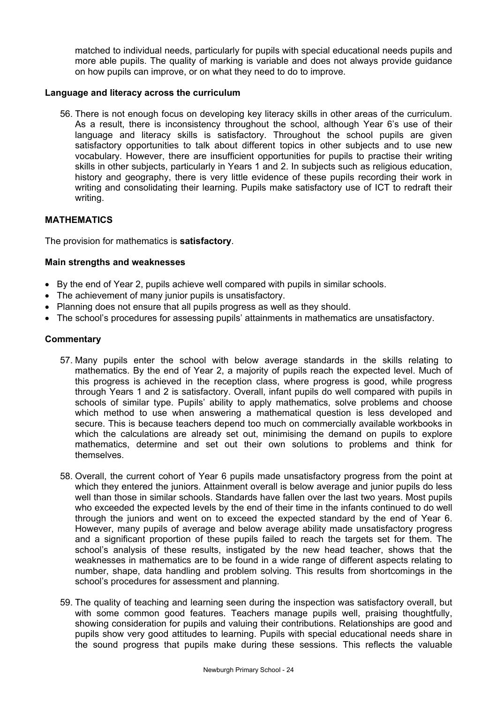matched to individual needs, particularly for pupils with special educational needs pupils and more able pupils. The quality of marking is variable and does not always provide guidance on how pupils can improve, or on what they need to do to improve.

### **Language and literacy across the curriculum**

56. There is not enough focus on developing key literacy skills in other areas of the curriculum. As a result, there is inconsistency throughout the school, although Year 6's use of their language and literacy skills is satisfactory. Throughout the school pupils are given satisfactory opportunities to talk about different topics in other subjects and to use new vocabulary. However, there are insufficient opportunities for pupils to practise their writing skills in other subjects, particularly in Years 1 and 2. In subjects such as religious education, history and geography, there is very little evidence of these pupils recording their work in writing and consolidating their learning. Pupils make satisfactory use of ICT to redraft their writing.

### **MATHEMATICS**

The provision for mathematics is **satisfactory**.

### **Main strengths and weaknesses**

- By the end of Year 2, pupils achieve well compared with pupils in similar schools.
- The achievement of many junior pupils is unsatisfactory.
- Planning does not ensure that all pupils progress as well as they should.
- The school's procedures for assessing pupils' attainments in mathematics are unsatisfactory.

- 57. Many pupils enter the school with below average standards in the skills relating to mathematics. By the end of Year 2, a majority of pupils reach the expected level. Much of this progress is achieved in the reception class, where progress is good, while progress through Years 1 and 2 is satisfactory. Overall, infant pupils do well compared with pupils in schools of similar type. Pupils' ability to apply mathematics, solve problems and choose which method to use when answering a mathematical question is less developed and secure. This is because teachers depend too much on commercially available workbooks in which the calculations are already set out, minimising the demand on pupils to explore mathematics, determine and set out their own solutions to problems and think for themselves.
- 58. Overall, the current cohort of Year 6 pupils made unsatisfactory progress from the point at which they entered the juniors. Attainment overall is below average and junior pupils do less well than those in similar schools. Standards have fallen over the last two years. Most pupils who exceeded the expected levels by the end of their time in the infants continued to do well through the juniors and went on to exceed the expected standard by the end of Year 6. However, many pupils of average and below average ability made unsatisfactory progress and a significant proportion of these pupils failed to reach the targets set for them. The school's analysis of these results, instigated by the new head teacher, shows that the weaknesses in mathematics are to be found in a wide range of different aspects relating to number, shape, data handling and problem solving. This results from shortcomings in the school's procedures for assessment and planning.
- 59. The quality of teaching and learning seen during the inspection was satisfactory overall, but with some common good features. Teachers manage pupils well, praising thoughtfully, showing consideration for pupils and valuing their contributions. Relationships are good and pupils show very good attitudes to learning. Pupils with special educational needs share in the sound progress that pupils make during these sessions. This reflects the valuable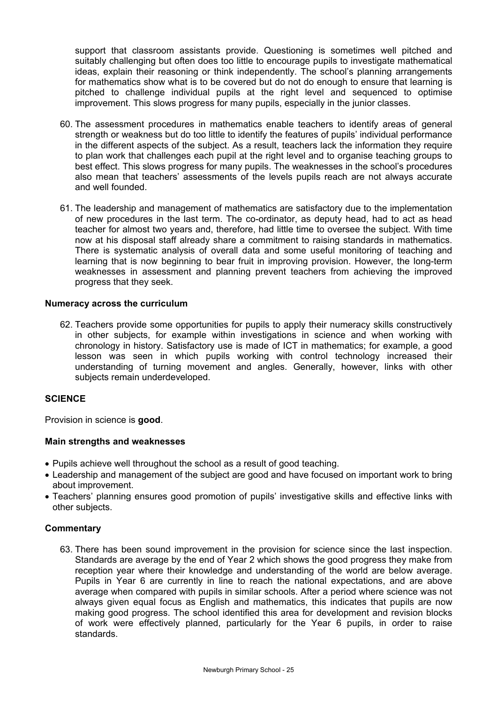support that classroom assistants provide. Questioning is sometimes well pitched and suitably challenging but often does too little to encourage pupils to investigate mathematical ideas, explain their reasoning or think independently. The school's planning arrangements for mathematics show what is to be covered but do not do enough to ensure that learning is pitched to challenge individual pupils at the right level and sequenced to optimise improvement. This slows progress for many pupils, especially in the junior classes.

- 60. The assessment procedures in mathematics enable teachers to identify areas of general strength or weakness but do too little to identify the features of pupils' individual performance in the different aspects of the subject. As a result, teachers lack the information they require to plan work that challenges each pupil at the right level and to organise teaching groups to best effect. This slows progress for many pupils. The weaknesses in the school's procedures also mean that teachers' assessments of the levels pupils reach are not always accurate and well founded.
- 61. The leadership and management of mathematics are satisfactory due to the implementation of new procedures in the last term. The co-ordinator, as deputy head, had to act as head teacher for almost two years and, therefore, had little time to oversee the subject. With time now at his disposal staff already share a commitment to raising standards in mathematics. There is systematic analysis of overall data and some useful monitoring of teaching and learning that is now beginning to bear fruit in improving provision. However, the long-term weaknesses in assessment and planning prevent teachers from achieving the improved progress that they seek.

### **Numeracy across the curriculum**

62. Teachers provide some opportunities for pupils to apply their numeracy skills constructively in other subjects, for example within investigations in science and when working with chronology in history. Satisfactory use is made of ICT in mathematics; for example, a good lesson was seen in which pupils working with control technology increased their understanding of turning movement and angles. Generally, however, links with other subjects remain underdeveloped.

## **SCIENCE**

Provision in science is **good**.

#### **Main strengths and weaknesses**

- Pupils achieve well throughout the school as a result of good teaching.
- Leadership and management of the subject are good and have focused on important work to bring about improvement.
- Teachers' planning ensures good promotion of pupils' investigative skills and effective links with other subjects.

#### **Commentary**

63. There has been sound improvement in the provision for science since the last inspection. Standards are average by the end of Year 2 which shows the good progress they make from reception year where their knowledge and understanding of the world are below average. Pupils in Year 6 are currently in line to reach the national expectations, and are above average when compared with pupils in similar schools. After a period where science was not always given equal focus as English and mathematics, this indicates that pupils are now making good progress. The school identified this area for development and revision blocks of work were effectively planned, particularly for the Year 6 pupils, in order to raise standards.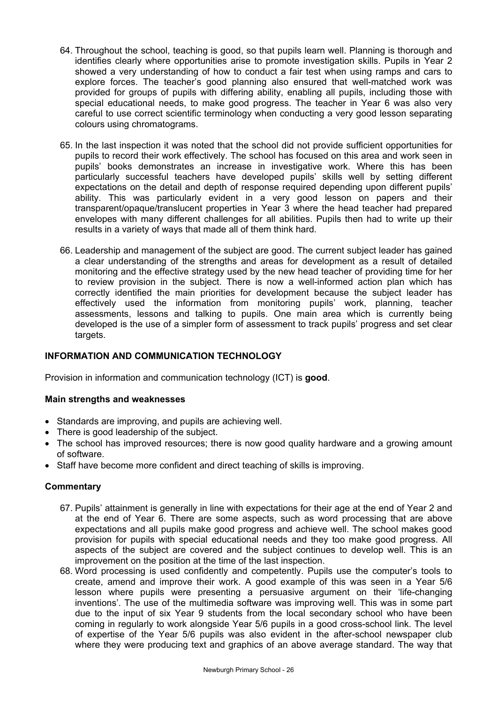- 64. Throughout the school, teaching is good, so that pupils learn well. Planning is thorough and identifies clearly where opportunities arise to promote investigation skills. Pupils in Year 2 showed a very understanding of how to conduct a fair test when using ramps and cars to explore forces. The teacher's good planning also ensured that well-matched work was provided for groups of pupils with differing ability, enabling all pupils, including those with special educational needs, to make good progress. The teacher in Year 6 was also very careful to use correct scientific terminology when conducting a very good lesson separating colours using chromatograms.
- 65. In the last inspection it was noted that the school did not provide sufficient opportunities for pupils to record their work effectively. The school has focused on this area and work seen in pupils' books demonstrates an increase in investigative work. Where this has been particularly successful teachers have developed pupils' skills well by setting different expectations on the detail and depth of response required depending upon different pupils' ability. This was particularly evident in a very good lesson on papers and their transparent/opaque/translucent properties in Year 3 where the head teacher had prepared envelopes with many different challenges for all abilities. Pupils then had to write up their results in a variety of ways that made all of them think hard.
- 66. Leadership and management of the subject are good. The current subject leader has gained a clear understanding of the strengths and areas for development as a result of detailed monitoring and the effective strategy used by the new head teacher of providing time for her to review provision in the subject. There is now a well-informed action plan which has correctly identified the main priorities for development because the subject leader has effectively used the information from monitoring pupils' work, planning, teacher assessments, lessons and talking to pupils. One main area which is currently being developed is the use of a simpler form of assessment to track pupils' progress and set clear targets.

## **INFORMATION AND COMMUNICATION TECHNOLOGY**

Provision in information and communication technology (ICT) is **good**.

## **Main strengths and weaknesses**

- Standards are improving, and pupils are achieving well.
- There is good leadership of the subject.
- The school has improved resources; there is now good quality hardware and a growing amount of software.
- Staff have become more confident and direct teaching of skills is improving.

- 67. Pupils' attainment is generally in line with expectations for their age at the end of Year 2 and at the end of Year 6. There are some aspects, such as word processing that are above expectations and all pupils make good progress and achieve well. The school makes good provision for pupils with special educational needs and they too make good progress. All aspects of the subject are covered and the subject continues to develop well. This is an improvement on the position at the time of the last inspection.
- 68. Word processing is used confidently and competently. Pupils use the computer's tools to create, amend and improve their work. A good example of this was seen in a Year 5/6 lesson where pupils were presenting a persuasive argument on their 'life-changing inventions'. The use of the multimedia software was improving well. This was in some part due to the input of six Year 9 students from the local secondary school who have been coming in regularly to work alongside Year 5/6 pupils in a good cross-school link. The level of expertise of the Year 5/6 pupils was also evident in the after-school newspaper club where they were producing text and graphics of an above average standard. The way that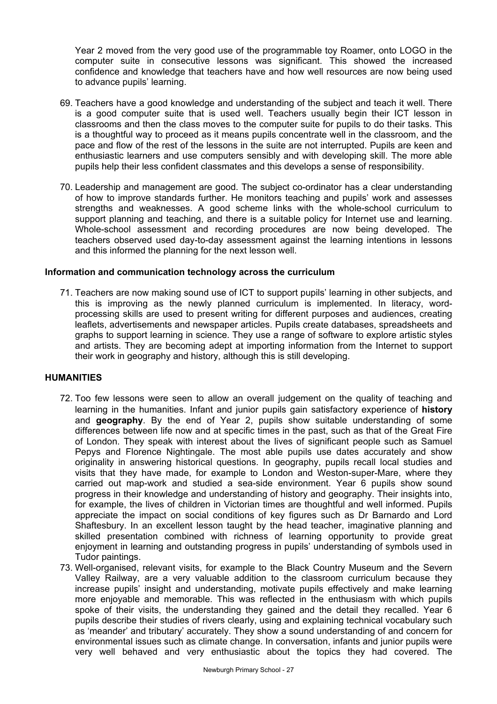Year 2 moved from the very good use of the programmable toy Roamer, onto LOGO in the computer suite in consecutive lessons was significant. This showed the increased confidence and knowledge that teachers have and how well resources are now being used to advance pupils' learning.

- 69. Teachers have a good knowledge and understanding of the subject and teach it well. There is a good computer suite that is used well. Teachers usually begin their ICT lesson in classrooms and then the class moves to the computer suite for pupils to do their tasks. This is a thoughtful way to proceed as it means pupils concentrate well in the classroom, and the pace and flow of the rest of the lessons in the suite are not interrupted. Pupils are keen and enthusiastic learners and use computers sensibly and with developing skill. The more able pupils help their less confident classmates and this develops a sense of responsibility.
- 70. Leadership and management are good. The subject co-ordinator has a clear understanding of how to improve standards further. He monitors teaching and pupils' work and assesses strengths and weaknesses. A good scheme links with the whole-school curriculum to support planning and teaching, and there is a suitable policy for Internet use and learning. Whole-school assessment and recording procedures are now being developed. The teachers observed used day-to-day assessment against the learning intentions in lessons and this informed the planning for the next lesson well.

#### **Information and communication technology across the curriculum**

71. Teachers are now making sound use of ICT to support pupils' learning in other subjects, and this is improving as the newly planned curriculum is implemented. In literacy, wordprocessing skills are used to present writing for different purposes and audiences, creating leaflets, advertisements and newspaper articles. Pupils create databases, spreadsheets and graphs to support learning in science. They use a range of software to explore artistic styles and artists. They are becoming adept at importing information from the Internet to support their work in geography and history, although this is still developing.

#### **HUMANITIES**

- 72. Too few lessons were seen to allow an overall judgement on the quality of teaching and learning in the humanities. Infant and junior pupils gain satisfactory experience of **history** and **geography**. By the end of Year 2, pupils show suitable understanding of some differences between life now and at specific times in the past, such as that of the Great Fire of London. They speak with interest about the lives of significant people such as Samuel Pepys and Florence Nightingale. The most able pupils use dates accurately and show originality in answering historical questions. In geography, pupils recall local studies and visits that they have made, for example to London and Weston-super-Mare, where they carried out map-work and studied a sea-side environment. Year 6 pupils show sound progress in their knowledge and understanding of history and geography. Their insights into, for example, the lives of children in Victorian times are thoughtful and well informed. Pupils appreciate the impact on social conditions of key figures such as Dr Barnardo and Lord Shaftesbury. In an excellent lesson taught by the head teacher, imaginative planning and skilled presentation combined with richness of learning opportunity to provide great enjoyment in learning and outstanding progress in pupils' understanding of symbols used in Tudor paintings.
- 73. Well-organised, relevant visits, for example to the Black Country Museum and the Severn Valley Railway, are a very valuable addition to the classroom curriculum because they increase pupils' insight and understanding, motivate pupils effectively and make learning more enjoyable and memorable. This was reflected in the enthusiasm with which pupils spoke of their visits, the understanding they gained and the detail they recalled. Year 6 pupils describe their studies of rivers clearly, using and explaining technical vocabulary such as 'meander' and tributary' accurately. They show a sound understanding of and concern for environmental issues such as climate change. In conversation, infants and junior pupils were very well behaved and very enthusiastic about the topics they had covered. The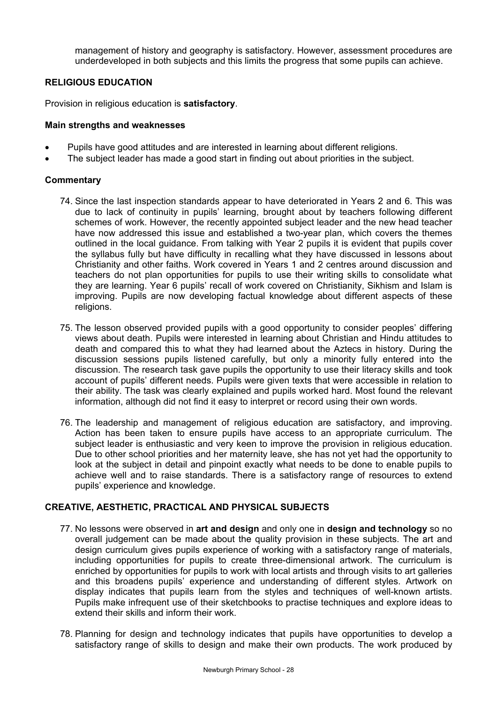management of history and geography is satisfactory. However, assessment procedures are underdeveloped in both subjects and this limits the progress that some pupils can achieve.

## **RELIGIOUS EDUCATION**

Provision in religious education is **satisfactory**.

#### **Main strengths and weaknesses**

- Pupils have good attitudes and are interested in learning about different religions.
- The subject leader has made a good start in finding out about priorities in the subject.

### **Commentary**

- 74. Since the last inspection standards appear to have deteriorated in Years 2 and 6. This was due to lack of continuity in pupils' learning, brought about by teachers following different schemes of work. However, the recently appointed subject leader and the new head teacher have now addressed this issue and established a two-year plan, which covers the themes outlined in the local guidance. From talking with Year 2 pupils it is evident that pupils cover the syllabus fully but have difficulty in recalling what they have discussed in lessons about Christianity and other faiths. Work covered in Years 1 and 2 centres around discussion and teachers do not plan opportunities for pupils to use their writing skills to consolidate what they are learning. Year 6 pupils' recall of work covered on Christianity, Sikhism and Islam is improving. Pupils are now developing factual knowledge about different aspects of these religions.
- 75. The lesson observed provided pupils with a good opportunity to consider peoples' differing views about death. Pupils were interested in learning about Christian and Hindu attitudes to death and compared this to what they had learned about the Aztecs in history. During the discussion sessions pupils listened carefully, but only a minority fully entered into the discussion. The research task gave pupils the opportunity to use their literacy skills and took account of pupils' different needs. Pupils were given texts that were accessible in relation to their ability. The task was clearly explained and pupils worked hard. Most found the relevant information, although did not find it easy to interpret or record using their own words.
- 76. The leadership and management of religious education are satisfactory, and improving. Action has been taken to ensure pupils have access to an appropriate curriculum. The subject leader is enthusiastic and very keen to improve the provision in religious education. Due to other school priorities and her maternity leave, she has not yet had the opportunity to look at the subject in detail and pinpoint exactly what needs to be done to enable pupils to achieve well and to raise standards. There is a satisfactory range of resources to extend pupils' experience and knowledge.

## **CREATIVE, AESTHETIC, PRACTICAL AND PHYSICAL SUBJECTS**

- 77. No lessons were observed in **art and design** and only one in **design and technology** so no overall judgement can be made about the quality provision in these subjects. The art and design curriculum gives pupils experience of working with a satisfactory range of materials, including opportunities for pupils to create three-dimensional artwork. The curriculum is enriched by opportunities for pupils to work with local artists and through visits to art galleries and this broadens pupils' experience and understanding of different styles. Artwork on display indicates that pupils learn from the styles and techniques of well-known artists. Pupils make infrequent use of their sketchbooks to practise techniques and explore ideas to extend their skills and inform their work.
- 78. Planning for design and technology indicates that pupils have opportunities to develop a satisfactory range of skills to design and make their own products. The work produced by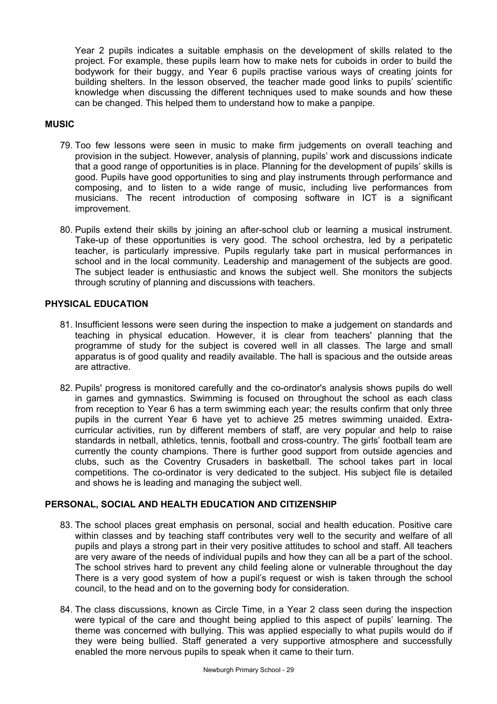Year 2 pupils indicates a suitable emphasis on the development of skills related to the project. For example, these pupils learn how to make nets for cuboids in order to build the bodywork for their buggy, and Year 6 pupils practise various ways of creating joints for building shelters. In the lesson observed, the teacher made good links to pupils' scientific knowledge when discussing the different techniques used to make sounds and how these can be changed. This helped them to understand how to make a panpipe.

## **MUSIC**

- 79. Too few lessons were seen in music to make firm judgements on overall teaching and provision in the subject. However, analysis of planning, pupils' work and discussions indicate that a good range of opportunities is in place. Planning for the development of pupils' skills is good. Pupils have good opportunities to sing and play instruments through performance and composing, and to listen to a wide range of music, including live performances from musicians. The recent introduction of composing software in ICT is a significant improvement.
- 80. Pupils extend their skills by joining an after-school club or learning a musical instrument. Take-up of these opportunities is very good. The school orchestra, led by a peripatetic teacher, is particularly impressive. Pupils regularly take part in musical performances in school and in the local community. Leadership and management of the subjects are good. The subject leader is enthusiastic and knows the subject well. She monitors the subjects through scrutiny of planning and discussions with teachers.

## **PHYSICAL EDUCATION**

- 81. Insufficient lessons were seen during the inspection to make a judgement on standards and teaching in physical education. However, it is clear from teachers' planning that the programme of study for the subject is covered well in all classes. The large and small apparatus is of good quality and readily available. The hall is spacious and the outside areas are attractive.
- 82. Pupils' progress is monitored carefully and the co-ordinator's analysis shows pupils do well in games and gymnastics. Swimming is focused on throughout the school as each class from reception to Year 6 has a term swimming each year; the results confirm that only three pupils in the current Year 6 have yet to achieve 25 metres swimming unaided. Extracurricular activities, run by different members of staff, are very popular and help to raise standards in netball, athletics, tennis, football and cross-country. The girls' football team are currently the county champions. There is further good support from outside agencies and clubs, such as the Coventry Crusaders in basketball. The school takes part in local competitions. The co-ordinator is very dedicated to the subject. His subject file is detailed and shows he is leading and managing the subject well.

## **PERSONAL, SOCIAL AND HEALTH EDUCATION AND CITIZENSHIP**

- 83. The school places great emphasis on personal, social and health education. Positive care within classes and by teaching staff contributes very well to the security and welfare of all pupils and plays a strong part in their very positive attitudes to school and staff. All teachers are very aware of the needs of individual pupils and how they can all be a part of the school. The school strives hard to prevent any child feeling alone or vulnerable throughout the day There is a very good system of how a pupil's request or wish is taken through the school council, to the head and on to the governing body for consideration.
- 84. The class discussions, known as Circle Time, in a Year 2 class seen during the inspection were typical of the care and thought being applied to this aspect of pupils' learning. The theme was concerned with bullying. This was applied especially to what pupils would do if they were being bullied. Staff generated a very supportive atmosphere and successfully enabled the more nervous pupils to speak when it came to their turn.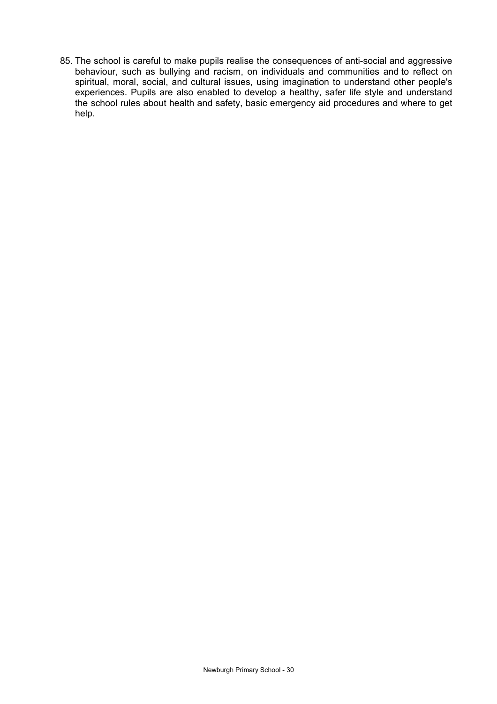85. The school is careful to make pupils realise the consequences of anti-social and aggressive behaviour, such as bullying and racism, on individuals and communities and to reflect on spiritual, moral, social, and cultural issues, using imagination to understand other people's experiences. Pupils are also enabled to develop a healthy, safer life style and understand the school rules about health and safety, basic emergency aid procedures and where to get help.